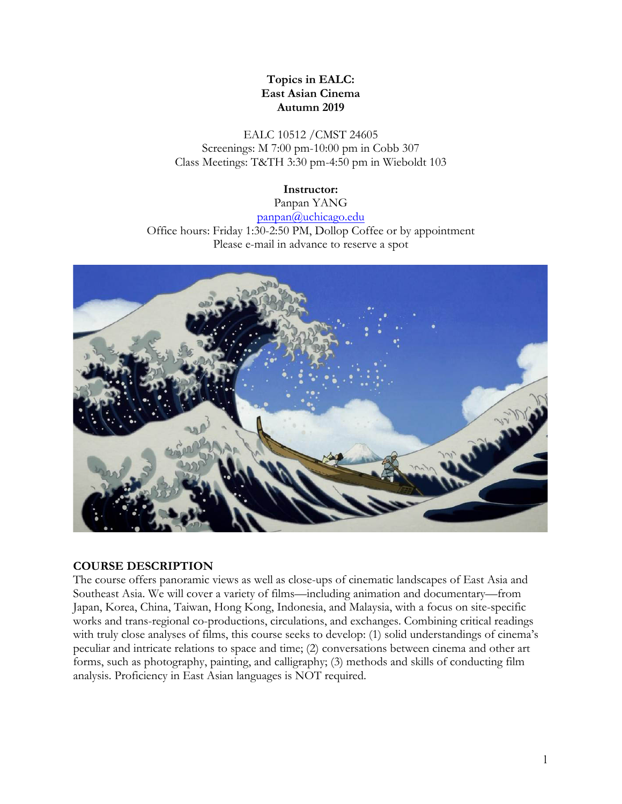## **Topics in EALC: East Asian Cinema Autumn 2019**

EALC 10512 /CMST 24605 Screenings: M 7:00 pm-10:00 pm in Cobb 307 Class Meetings: T&TH 3:30 pm-4:50 pm in Wieboldt 103

### **Instructor:**

Panpan YANG panpan@uchicago.edu Office hours: Friday 1:30-2:50 PM, Dollop Coffee or by appointment Please e-mail in advance to reserve a spot



### **COURSE DESCRIPTION**

The course offers panoramic views as well as close-ups of cinematic landscapes of East Asia and Southeast Asia. We will cover a variety of films—including animation and documentary—from Japan, Korea, China, Taiwan, Hong Kong, Indonesia, and Malaysia, with a focus on site-specific works and trans-regional co-productions, circulations, and exchanges. Combining critical readings with truly close analyses of films, this course seeks to develop: (1) solid understandings of cinema's peculiar and intricate relations to space and time; (2) conversations between cinema and other art forms, such as photography, painting, and calligraphy; (3) methods and skills of conducting film analysis. Proficiency in East Asian languages is NOT required.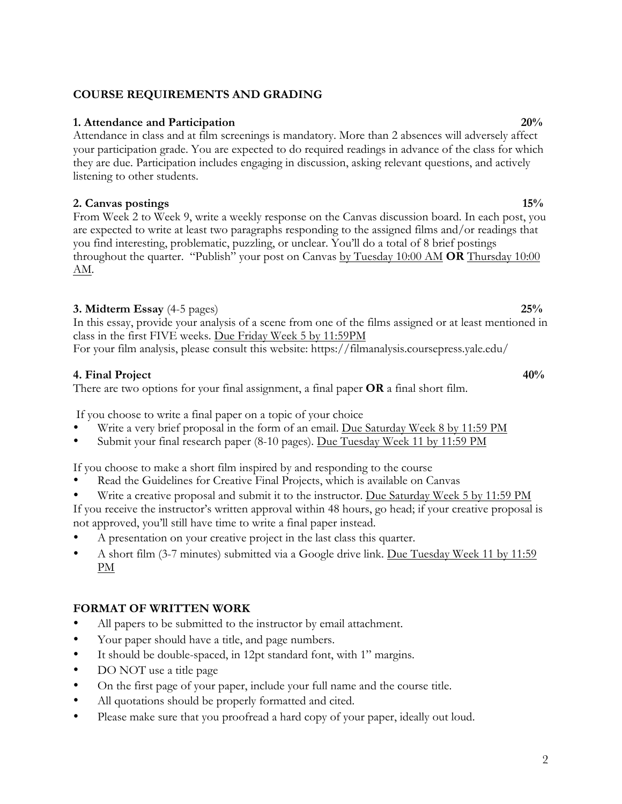## **COURSE REQUIREMENTS AND GRADING**

## **1. Attendance and Participation 20%**

Attendance in class and at film screenings is mandatory. More than 2 absences will adversely affect your participation grade. You are expected to do required readings in advance of the class for which they are due. Participation includes engaging in discussion, asking relevant questions, and actively listening to other students.

## **2. Canvas postings 15%**

From Week 2 to Week 9, write a weekly response on the Canvas discussion board. In each post, you are expected to write at least two paragraphs responding to the assigned films and/or readings that you find interesting, problematic, puzzling, or unclear. You'll do a total of 8 brief postings throughout the quarter. "Publish" your post on Canvas by Tuesday 10:00 AM **OR** Thursday 10:00 AM.

## **3. Midterm Essay** (4-5 pages) **25%**

In this essay, provide your analysis of a scene from one of the films assigned or at least mentioned in class in the first FIVE weeks. Due Friday Week 5 by 11:59PM For your film analysis, please consult this website: https://filmanalysis.coursepress.yale.edu/

## **4. Final Project 40%**

There are two options for your final assignment, a final paper **OR** a final short film.

If you choose to write a final paper on a topic of your choice

- Write a very brief proposal in the form of an email. Due Saturday Week 8 by 11:59 PM
- Submit your final research paper (8-10 pages). Due Tuesday Week 11 by 11:59 PM

If you choose to make a short film inspired by and responding to the course

- Read the Guidelines for Creative Final Projects, which is available on Canvas
- Write a creative proposal and submit it to the instructor. Due Saturday Week 5 by 11:59 PM
- If you receive the instructor's written approval within 48 hours, go head; if your creative proposal is not approved, you'll still have time to write a final paper instead.
- A presentation on your creative project in the last class this quarter.
- A short film (3-7 minutes) submitted via a Google drive link. Due Tuesday Week 11 by 11:59 PM

## **FORMAT OF WRITTEN WORK**

- All papers to be submitted to the instructor by email attachment.
- Your paper should have a title, and page numbers.
- It should be double-spaced, in 12pt standard font, with 1" margins.
- DO NOT use a title page
- On the first page of your paper, include your full name and the course title.
- All quotations should be properly formatted and cited.
- Please make sure that you proofread a hard copy of your paper, ideally out loud.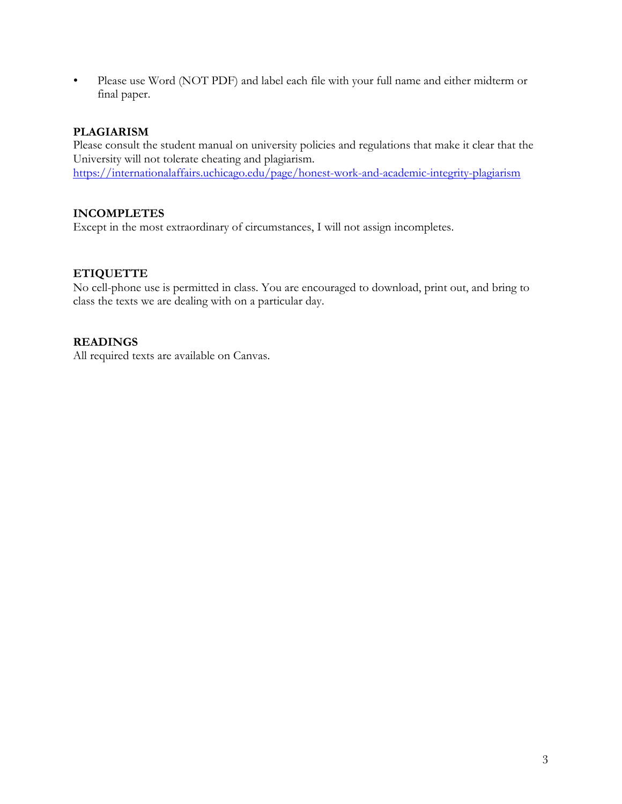• Please use Word (NOT PDF) and label each file with your full name and either midterm or final paper.

## **PLAGIARISM**

Please consult the student manual on university policies and regulations that make it clear that the University will not tolerate cheating and plagiarism. https://internationalaffairs.uchicago.edu/page/honest-work-and-academic-integrity-plagiarism

## **INCOMPLETES**

Except in the most extraordinary of circumstances, I will not assign incompletes.

## **ETIQUETTE**

No cell-phone use is permitted in class. You are encouraged to download, print out, and bring to class the texts we are dealing with on a particular day.

## **READINGS**

All required texts are available on Canvas.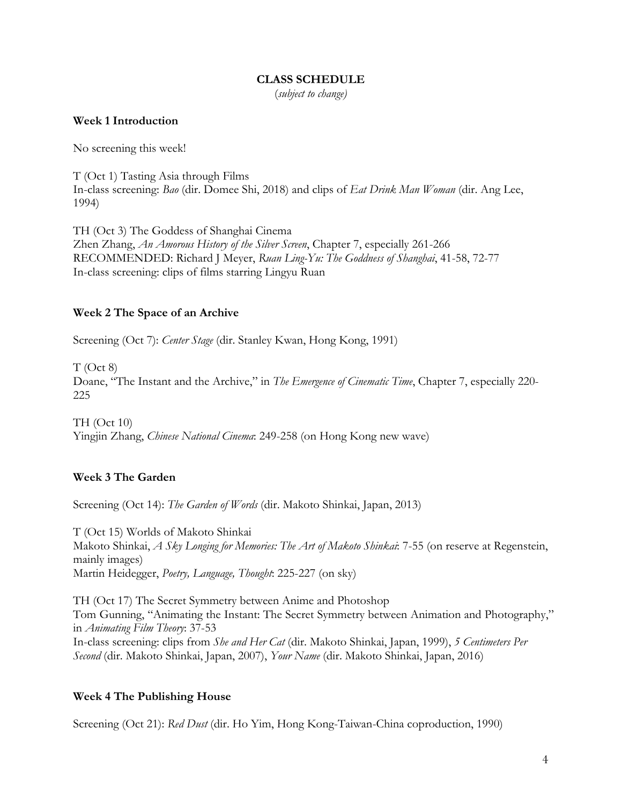#### **CLASS SCHEDULE**

(*subject to change)*

#### **Week 1 Introduction**

No screening this week!

T (Oct 1) Tasting Asia through Films In-class screening: *Bao* (dir. Domee Shi, 2018) and clips of *Eat Drink Man Woman* (dir. Ang Lee, 1994)

TH (Oct 3) The Goddess of Shanghai Cinema Zhen Zhang, *An Amorous History of the Silver Screen*, Chapter 7, especially 261-266 RECOMMENDED: Richard J Meyer, *Ruan Ling-Yu: The Goddness of Shanghai*, 41-58, 72-77 In-class screening: clips of films starring Lingyu Ruan

## **Week 2 The Space of an Archive**

Screening (Oct 7): *Center Stage* (dir. Stanley Kwan, Hong Kong, 1991)

T (Oct 8) Doane, "The Instant and the Archive," in *The Emergence of Cinematic Time*, Chapter 7, especially 220- 225

TH (Oct 10) Yingjin Zhang, *Chinese National Cinema*: 249-258 (on Hong Kong new wave)

## **Week 3 The Garden**

Screening (Oct 14): *The Garden of Words* (dir. Makoto Shinkai, Japan, 2013)

T (Oct 15) Worlds of Makoto Shinkai Makoto Shinkai, *A Sky Longing for Memories: The Art of Makoto Shinkai*: 7-55 (on reserve at Regenstein, mainly images) Martin Heidegger, *Poetry, Language, Thought*: 225-227 (on sky)

TH (Oct 17) The Secret Symmetry between Anime and Photoshop Tom Gunning, "Animating the Instant: The Secret Symmetry between Animation and Photography," in *Animating Film Theory*: 37-53 In-class screening: clips from *She and Her Cat* (dir. Makoto Shinkai, Japan, 1999), *5 Centimeters Per Second* (dir. Makoto Shinkai, Japan, 2007), *Your Name* (dir. Makoto Shinkai, Japan, 2016)

### **Week 4 The Publishing House**

Screening (Oct 21): *Red Dust* (dir. Ho Yim, Hong Kong-Taiwan-China coproduction, 1990)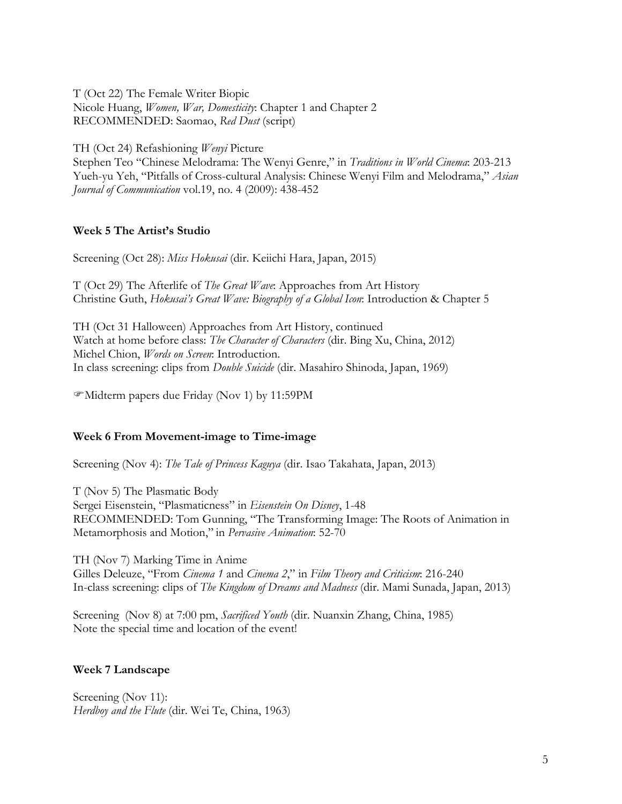T (Oct 22) The Female Writer Biopic Nicole Huang, *Women, War, Domesticity*: Chapter 1 and Chapter 2 RECOMMENDED: Saomao, *Red Dust* (script)

TH (Oct 24) Refashioning *Wenyi* Picture

Stephen Teo "Chinese Melodrama: The Wenyi Genre," in *Traditions in World Cinema*: 203-213 Yueh-yu Yeh, "Pitfalls of Cross-cultural Analysis: Chinese Wenyi Film and Melodrama," *Asian Journal of Communication* vol.19, no. 4 (2009): 438-452

#### **Week 5 The Artist's Studio**

Screening (Oct 28): *Miss Hokusai* (dir. Keiichi Hara, Japan, 2015)

T (Oct 29) The Afterlife of *The Great Wave*: Approaches from Art History Christine Guth, *Hokusai's Great Wave: Biography of a Global Icon*: Introduction & Chapter 5

TH (Oct 31 Halloween) Approaches from Art History, continued Watch at home before class: *The Character of Characters* (dir. Bing Xu, China, 2012) Michel Chion, *Words on Screen*: Introduction. In class screening: clips from *Double Suicide* (dir. Masahiro Shinoda, Japan, 1969)

FMidterm papers due Friday (Nov 1) by 11:59PM

#### **Week 6 From Movement-image to Time-image**

Screening (Nov 4): *The Tale of Princess Kaguya* (dir. Isao Takahata, Japan, 2013)

T (Nov 5) The Plasmatic Body Sergei Eisenstein, "Plasmaticness" in *Eisenstein On Disney*, 1-48 RECOMMENDED: Tom Gunning, "The Transforming Image: The Roots of Animation in Metamorphosis and Motion," in *Pervasive Animation*: 52-70

TH (Nov 7) Marking Time in Anime Gilles Deleuze, "From *Cinema 1* and *Cinema 2*," in *Film Theory and Criticism*: 216-240 In-class screening: clips of *The Kingdom of Dreams and Madness* (dir. Mami Sunada, Japan, 2013)

Screening (Nov 8) at 7:00 pm, *Sacrificed Youth* (dir. Nuanxin Zhang, China, 1985) Note the special time and location of the event!

#### **Week 7 Landscape**

Screening (Nov 11): *Herdboy and the Flute* (dir. Wei Te, China, 1963)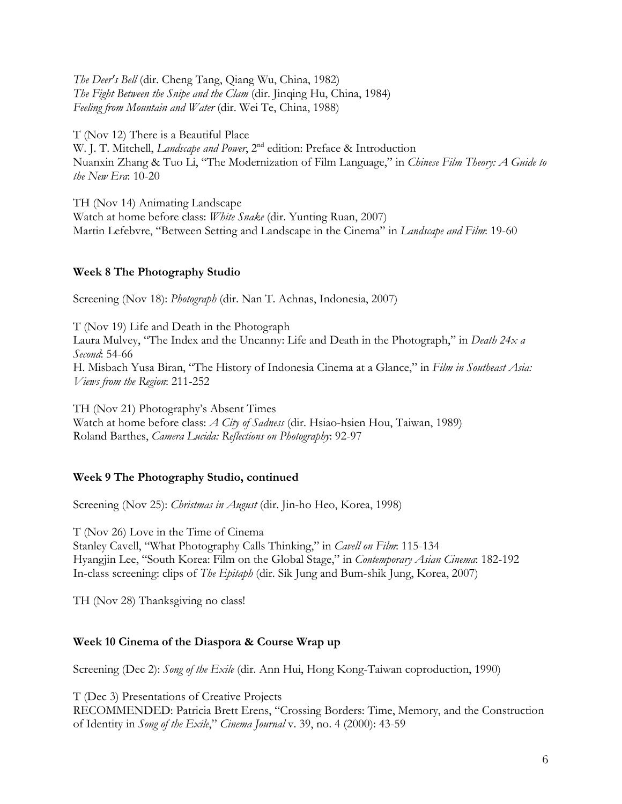*The Deer's Bell* (dir. Cheng Tang, Qiang Wu, China, 1982) *The Fight Between the Snipe and the Clam* (dir. Jinqing Hu, China, 1984) *Feeling from Mountain and Water* (dir. Wei Te, China, 1988)

T (Nov 12) There is a Beautiful Place W. J. T. Mitchell, *Landscape and Power*, 2<sup>nd</sup> edition: Preface & Introduction Nuanxin Zhang & Tuo Li, "The Modernization of Film Language," in *Chinese Film Theory: A Guide to the New Era*: 10-20

TH (Nov 14) Animating Landscape Watch at home before class: *White Snake* (dir. Yunting Ruan, 2007) Martin Lefebvre, "Between Setting and Landscape in the Cinema" in *Landscape and Film*: 19-60

## **Week 8 The Photography Studio**

Screening (Nov 18): *Photograph* (dir. Nan T. Achnas, Indonesia, 2007)

T (Nov 19) Life and Death in the Photograph Laura Mulvey, "The Index and the Uncanny: Life and Death in the Photograph," in *Death 24x a Second*: 54-66 H. Misbach Yusa Biran, "The History of Indonesia Cinema at a Glance," in *Film in Southeast Asia: Views from the Region*: 211-252

TH (Nov 21) Photography's Absent Times Watch at home before class: *A City of Sadness* (dir. Hsiao-hsien Hou, Taiwan, 1989) Roland Barthes, *Camera Lucida: Reflections on Photography*: 92-97

## **Week 9 The Photography Studio, continued**

Screening (Nov 25): *Christmas in August* (dir. Jin-ho Heo, Korea, 1998)

T (Nov 26) Love in the Time of Cinema

Stanley Cavell, "What Photography Calls Thinking," in *Cavell on Film*: 115-134 Hyangjin Lee, "South Korea: Film on the Global Stage," in *Contemporary Asian Cinema*: 182-192 In-class screening: clips of *The Epitaph* (dir. Sik Jung and Bum-shik Jung, Korea, 2007)

TH (Nov 28) Thanksgiving no class!

## **Week 10 Cinema of the Diaspora & Course Wrap up**

Screening (Dec 2): *Song of the Exile* (dir. Ann Hui, Hong Kong-Taiwan coproduction, 1990)

T (Dec 3) Presentations of Creative Projects

RECOMMENDED: Patricia Brett Erens, "Crossing Borders: Time, Memory, and the Construction of Identity in *Song of the Exile*," *Cinema Journal* v. 39, no. 4 (2000): 43-59